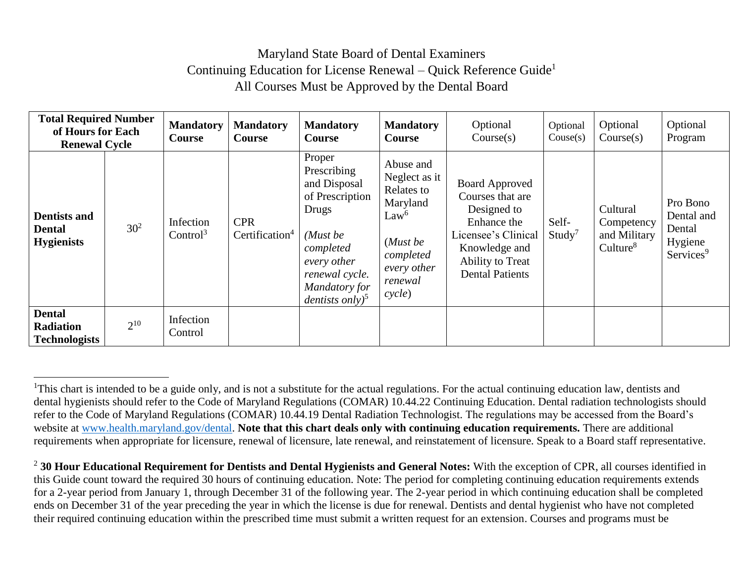## Maryland State Board of Dental Examiners Continuing Education for License Renewal – Quick Reference Guide<sup>1</sup> All Courses Must be Approved by the Dental Board

| <b>Total Required Number</b><br>of Hours for Each<br><b>Renewal Cycle</b> |                 | <b>Mandatory</b><br><b>Course</b> | <b>Mandatory</b><br>Course               | <b>Mandatory</b><br>Course                                                                                                                                                  | <b>Mandatory</b><br><b>Course</b>                                                                                                     | Optional<br>Course(s)                                                                                                                                         | Optional<br>Couse(s)        | Optional<br>Course(s)                                          | Optional<br>Program                                                  |
|---------------------------------------------------------------------------|-----------------|-----------------------------------|------------------------------------------|-----------------------------------------------------------------------------------------------------------------------------------------------------------------------------|---------------------------------------------------------------------------------------------------------------------------------------|---------------------------------------------------------------------------------------------------------------------------------------------------------------|-----------------------------|----------------------------------------------------------------|----------------------------------------------------------------------|
| <b>Dentists and</b><br><b>Dental</b><br><b>Hygienists</b>                 | 30 <sup>2</sup> | Infection<br>Control <sup>3</sup> | <b>CPR</b><br>Certification <sup>4</sup> | Proper<br>Prescribing<br>and Disposal<br>of Prescription<br>Drugs<br>(Must be<br>completed<br>every other<br>renewal cycle.<br>Mandatory for<br>dentists only) <sup>5</sup> | Abuse and<br>Neglect as it<br>Relates to<br>Maryland<br>Law <sup>6</sup><br>(Must be<br>completed<br>every other<br>renewal<br>cycle) | <b>Board Approved</b><br>Courses that are<br>Designed to<br>Enhance the<br>Licensee's Clinical<br>Knowledge and<br>Ability to Treat<br><b>Dental Patients</b> | Self-<br>Study <sup>7</sup> | Cultural<br>Competency<br>and Military<br>Culture <sup>8</sup> | Pro Bono<br>Dental and<br>Dental<br>Hygiene<br>Services <sup>9</sup> |
| <b>Dental</b><br><b>Radiation</b><br><b>Technologists</b>                 | $2^{10}$        | Infection<br>Control              |                                          |                                                                                                                                                                             |                                                                                                                                       |                                                                                                                                                               |                             |                                                                |                                                                      |

 $\overline{\phantom{a}}$ 

<sup>&</sup>lt;sup>1</sup>This chart is intended to be a guide only, and is not a substitute for the actual regulations. For the actual continuing education law, dentists and dental hygienists should refer to the Code of Maryland Regulations (COMAR) 10.44.22 Continuing Education. Dental radiation technologists should refer to the Code of Maryland Regulations (COMAR) 10.44.19 Dental Radiation Technologist. The regulations may be accessed from the Board's website at [www.health.maryland.gov/dental.](http://www.health.maryland.gov/dental) **Note that this chart deals only with continuing education requirements.** There are additional requirements when appropriate for licensure, renewal of licensure, late renewal, and reinstatement of licensure. Speak to a Board staff representative.

<sup>2</sup> **30 Hour Educational Requirement for Dentists and Dental Hygienists and General Notes:** With the exception of CPR, all courses identified in this Guide count toward the required 30 hours of continuing education. Note: The period for completing continuing education requirements extends for a 2-year period from January 1, through December 31 of the following year. The 2-year period in which continuing education shall be completed ends on December 31 of the year preceding the year in which the license is due for renewal. Dentists and dental hygienist who have not completed their required continuing education within the prescribed time must submit a written request for an extension. Courses and programs must be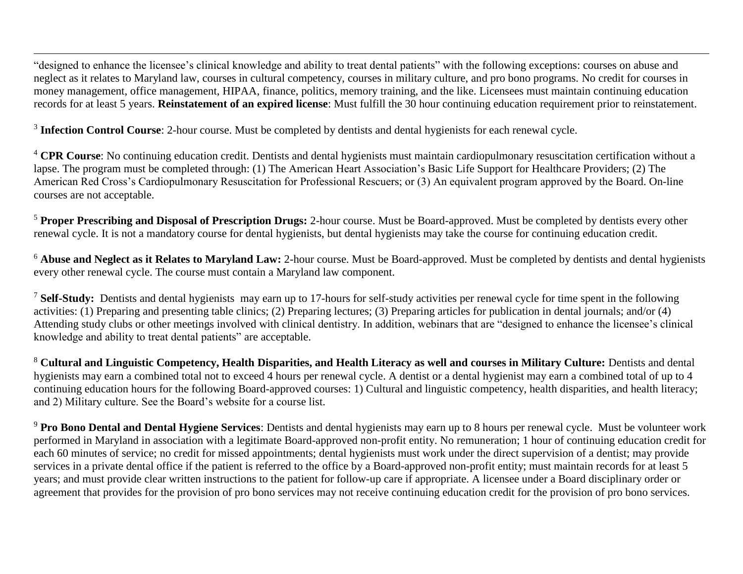"designed to enhance the licensee's clinical knowledge and ability to treat dental patients" with the following exceptions: courses on abuse and neglect as it relates to Maryland law, courses in cultural competency, courses in military culture, and pro bono programs. No credit for courses in money management, office management, HIPAA, finance, politics, memory training, and the like. Licensees must maintain continuing education records for at least 5 years. **Reinstatement of an expired license**: Must fulfill the 30 hour continuing education requirement prior to reinstatement.

<sup>3</sup> Infection Control Course: 2-hour course. Must be completed by dentists and dental hygienists for each renewal cycle.

 $\overline{\phantom{a}}$ 

<sup>4</sup> **CPR** Course: No continuing education credit. Dentists and dental hygienists must maintain cardiopulmonary resuscitation certification without a lapse. The program must be completed through: (1) The American Heart Association's Basic Life Support for Healthcare Providers; (2) The American Red Cross's Cardiopulmonary Resuscitation for Professional Rescuers; or (3) An equivalent program approved by the Board. On-line courses are not acceptable.

<sup>5</sup> **Proper Prescribing and Disposal of Prescription Drugs:** 2-hour course. Must be Board-approved. Must be completed by dentists every other renewal cycle. It is not a mandatory course for dental hygienists, but dental hygienists may take the course for continuing education credit.

<sup>6</sup> Abuse and Neglect as it Relates to Maryland Law: 2-hour course. Must be Board-approved. Must be completed by dentists and dental hygienists every other renewal cycle. The course must contain a Maryland law component.

<sup>7</sup> **Self-Study:** Dentists and dental hygienists may earn up to 17-hours for self-study activities per renewal cycle for time spent in the following activities: (1) Preparing and presenting table clinics; (2) Preparing lectures; (3) Preparing articles for publication in dental journals; and/or (4) Attending study clubs or other meetings involved with clinical dentistry. In addition, webinars that are "designed to enhance the licensee's clinical knowledge and ability to treat dental patients" are acceptable.

<sup>8</sup> **Cultural and Linguistic Competency, Health Disparities, and Health Literacy as well and courses in Military Culture:** Dentists and dental hygienists may earn a combined total not to exceed 4 hours per renewal cycle. A dentist or a dental hygienist may earn a combined total of up to 4 continuing education hours for the following Board-approved courses: 1) Cultural and linguistic competency, health disparities, and health literacy; and 2) Military culture. See the Board's website for a course list.

<sup>9</sup> Pro Bono Dental and Dental Hygiene Services: Dentists and dental hygienists may earn up to 8 hours per renewal cycle. Must be volunteer work performed in Maryland in association with a legitimate Board-approved non-profit entity. No remuneration; 1 hour of continuing education credit for each 60 minutes of service; no credit for missed appointments; dental hygienists must work under the direct supervision of a dentist; may provide services in a private dental office if the patient is referred to the office by a Board-approved non-profit entity; must maintain records for at least 5 years; and must provide clear written instructions to the patient for follow-up care if appropriate. A licensee under a Board disciplinary order or agreement that provides for the provision of pro bono services may not receive continuing education credit for the provision of pro bono services.